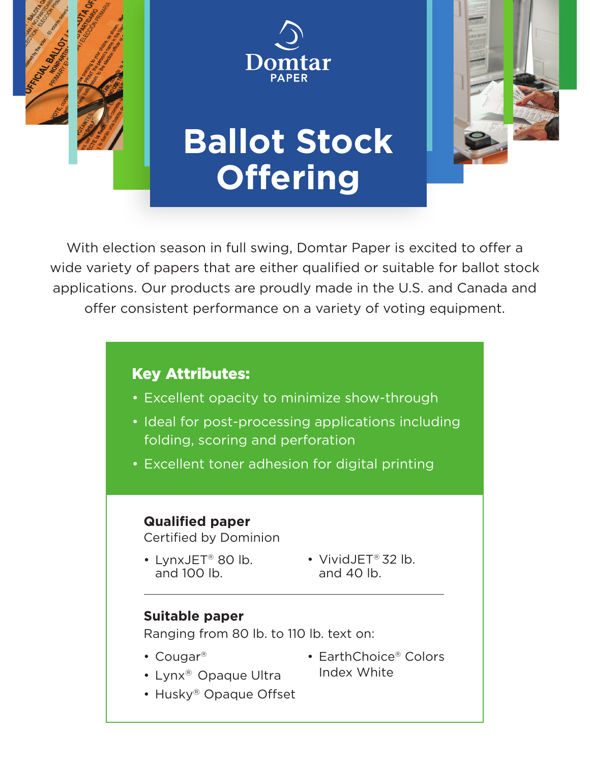



# **Ballot Stock Offering**



### Key Attributes:

- Excellent opacity to minimize show-through
- Ideal for post-processing applications including folding, scoring and perforation
- Excellent toner adhesion for digital printing

#### **Qualified paper**

Certified by Dominion

- LynxJET® 80 lb. and 100 lb.
- VividJET® 32 lb. and 40 lb.

#### **Suitable paper**

Ranging from 80 lb. to 110 lb. text on:

• Cougar®

- EarthChoice® Colors Index White
- Lynx® Opaque Ultra • Husky® Opaque Offset